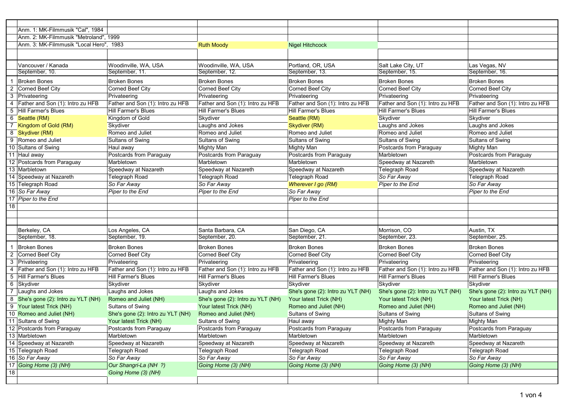|                         | Anm. 1: MK-Filmmusik "Cal", 1984        |                                   |                                   |                                   |                                   |                                   |
|-------------------------|-----------------------------------------|-----------------------------------|-----------------------------------|-----------------------------------|-----------------------------------|-----------------------------------|
|                         | Anm. 2: MK-Filmmusik "Metroland", 1999  |                                   |                                   |                                   |                                   |                                   |
|                         | Anm. 3: MK-Filmmusik "Local Hero", 1983 |                                   | <b>Ruth Moody</b>                 | <b>Nigel Hitchcock</b>            |                                   |                                   |
|                         |                                         |                                   |                                   |                                   |                                   |                                   |
|                         | Vancouver / Kanada                      | Woodinville, WA, USA              | Woodinville, WA, USA              | Portland, OR, USA                 | Salt Lake City, UT                | Las Vegas, NV                     |
|                         | September, 10.                          | September, 11.                    | September, 12.                    | September, 13.                    | September, 15.                    | September, 16.                    |
|                         |                                         |                                   |                                   |                                   |                                   |                                   |
| $\overline{1}$          | <b>Broken Bones</b>                     | <b>Broken Bones</b>               | <b>Broken Bones</b>               | <b>Broken Bones</b>               | <b>Broken Bones</b>               | <b>Broken Bones</b>               |
| $\overline{2}$          | Corned Beef City                        | Corned Beef City                  | Corned Beef City                  | Corned Beef City                  | Corned Beef City                  | Corned Beef City                  |
| 3                       | Privateering                            | Privateering                      | Privateering                      | Privateering                      | Privateering                      | Privateering                      |
| 4                       | Father and Son (1): Intro zu HFB        | Father and Son (1): Intro zu HFB  | Father and Son (1): Intro zu HFB  | Father and Son (1): Intro zu HFB  | Father and Son (1): Intro zu HFB  | Father and Son (1): Intro zu HFB  |
|                         | 5 Hill Farmer's Blues                   | <b>Hill Farmer's Blues</b>        | Hill Farmer's Blues               | Hill Farmer's Blues               | Hill Farmer's Blues               | Hill Farmer's Blues               |
|                         | 6 Seattle (RM)                          | Kingdom of Gold                   | Skydiver                          | Seattle (RM)                      | Skydiver                          | Skydiver                          |
|                         | 7 Kingdom of Gold (RM)                  | Skydiver                          | Laughs and Jokes                  | Skydiver (RM)                     | Laughs and Jokes                  | Laughs and Jokes                  |
|                         | 8 Skydiver (RM)                         | Romeo and Juliet                  | Romeo and Juliet                  | Romeo and Juliet                  | Romeo and Juliet                  | Romeo and Juliet                  |
|                         | 9 Romeo and Juliet                      | Sultans of Swing                  | Sultans of Swing                  | Sultans of Swing                  | Sultans of Swing                  | Sultans of Swing                  |
|                         | 10 Sultans of Swing                     | Haul away                         | Mighty Man                        | Mighty Man                        | Postcards from Paraguay           | <b>Mighty Man</b>                 |
|                         | 11 Haul away                            | Postcards from Paraguay           | Postcards from Paraguay           | Postcards from Paraguay           | Marbletown                        | Postcards from Paraguay           |
|                         | 12 Postcards from Paraguay              | Marbletown                        | Marbletown                        | Marbletown                        | Speedway at Nazareth              | Marbletown                        |
|                         | 13 Marbletown                           | Speedway at Nazareth              | Speedway at Nazareth              | Speedway at Nazareth              | Telegraph Road                    | Speedway at Nazareth              |
|                         | 14 Speedway at Nazareth                 | Telegraph Road                    | Telegraph Road                    | Telegraph Road                    | So Far Away                       | Telegraph Road                    |
|                         | 15 Telegraph Road                       | So Far Away                       | So Far Away                       | Wherever I go (RM)                | Piper to the End                  | So Far Away                       |
|                         | 16 So Far Away                          | Piper to the End                  | Piper to the End                  | So Far Away                       |                                   | Piper to the End                  |
|                         | 17 Piper to the End                     |                                   |                                   | Piper to the End                  |                                   |                                   |
| 18                      |                                         |                                   |                                   |                                   |                                   |                                   |
|                         |                                         |                                   |                                   |                                   |                                   |                                   |
|                         |                                         |                                   |                                   |                                   |                                   |                                   |
|                         | Berkeley, CA                            | Los Angeles, CA                   | Santa Barbara, CA                 | San Diego, CA                     | Morrison, CO                      | Austin, TX                        |
|                         | September, 18.                          | September, 19.                    | September, 20.                    | September, 21.                    | September, 23.                    | September, 25.                    |
| $\overline{1}$          | <b>Broken Bones</b>                     | <b>Broken Bones</b>               | Broken Bones                      | Broken Bones                      | <b>Broken Bones</b>               | <b>Broken Bones</b>               |
| $\overline{2}$          | Corned Beef City                        | Corned Beef City                  | Corned Beef City                  | Corned Beef City                  | Corned Beef City                  | Corned Beef City                  |
| 3                       | Privateering                            | Privateering                      | Privateering                      | Privateering                      | Privateering                      | Privateering                      |
| $\overline{\mathbf{4}}$ | Father and Son (1): Intro zu HFB        | Father and Son (1): Intro zu HFB  | Father and Son (1): Intro zu HFB  | Father and Son (1): Intro zu HFB  | Father and Son (1): Intro zu HFB  | Father and Son (1): Intro zu HFB  |
| 5                       | Hill Farmer's Blues                     | Hill Farmer's Blues               | Hill Farmer's Blues               | Hill Farmer's Blues               | Hill Farmer's Blues               | <b>Hill Farmer's Blues</b>        |
| 6                       | Skydiver                                | Skydiver                          | Skydiver                          | Skydiver                          | Skydiver                          | Skydiver                          |
|                         | 7 Laughs and Jokes                      | Laughs and Jokes                  | Laughs and Jokes                  | She's gone (2): Intro zu YLT (NH) | She's gone (2): Intro zu YLT (NH) | She's gone (2): Intro zu YLT (NH) |
|                         | 8 She's gone (2): Intro zu YLT (NH)     | Romeo and Juliet (NH)             | She's gone (2): Intro zu YLT (NH) | Your latest Trick (NH)            | Your latest Trick (NH)            | Your latest Trick (NH)            |
|                         | 9 Your latest Trick (NH)                | Sultans of Swing                  | Your latest Trick (NH)            | Romeo and Juliet (NH)             | Romeo and Juliet (NH)             | Romeo and Juliet (NH)             |
|                         | 10 Romeo and Juliet (NH)                | She's gone (2): Intro zu YLT (NH) | Romeo and Juliet (NH)             | Sultans of Swing                  | Sultans of Swing                  | Sultans of Swing                  |
|                         | 11 Sultans of Swing                     | Your latest Trick (NH)            | <b>Sultans of Swing</b>           | Haul away                         | Mighty Man                        | <b>Mighty Man</b>                 |
|                         | 12 Postcards from Paraguay              | Postcards from Paraguay           | Postcards from Paraguay           | Postcards from Paraguay           | Postcards from Paraguay           | Postcards from Paraguay           |
|                         | 13 Marbletown                           | Marbletown                        | Marbletown                        | Marbletown                        | Marbletown                        | Marbletown                        |
|                         | 14 Speedway at Nazareth                 | Speedway at Nazareth              | Speedway at Nazareth              | Speedway at Nazareth              | Speedway at Nazareth              | Speedway at Nazareth              |
|                         | 15 Telegraph Road                       | Telegraph Road                    | Telegraph Road                    | Telegraph Road                    | Telegraph Road                    | Telegraph Road                    |
|                         | 16 So Far Away                          | So Far Away                       | So Far Away                       | So Far Away                       | So Far Away                       | So Far Away                       |
|                         | 17 Going Home (3) (NH)                  | Our Shangri-La (NH ?)             | Going Home (3) (NH)               | Going Home (3) (NH)               | Going Home (3) (NH)               | Going Home (3) (NH)               |
| $\overline{18}$         |                                         | Going Home (3) (NH)               |                                   |                                   |                                   |                                   |
|                         |                                         |                                   |                                   |                                   |                                   |                                   |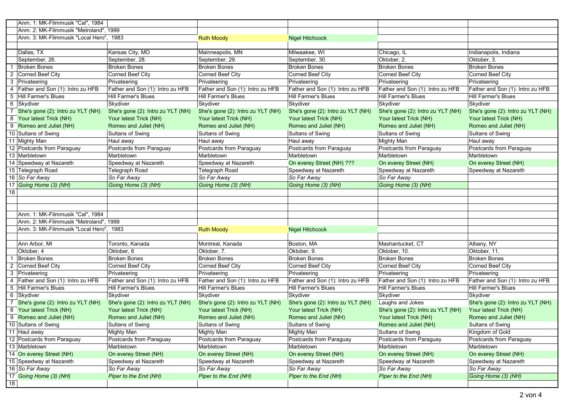|                | Anm. 1: MK-Filmmusik "Cal", 1984        |                                   |                                   |                                   |                                   |                                   |
|----------------|-----------------------------------------|-----------------------------------|-----------------------------------|-----------------------------------|-----------------------------------|-----------------------------------|
|                | Anm. 2: MK-Filmmusik "Metroland", 1999  |                                   |                                   |                                   |                                   |                                   |
|                | Anm. 3: MK-Filmmusik "Local Hero", 1983 |                                   | <b>Ruth Moody</b>                 | <b>Nigel Hitchcock</b>            |                                   |                                   |
|                |                                         |                                   |                                   |                                   |                                   |                                   |
|                | Dallas, TX                              | Kansas City, MO                   | Mainneapolis, MN                  | Milwaakee, WI                     | Chicago, IL                       | Indianapolis, Indiana             |
|                | September, 26.                          | September, 28.                    | September, 29.                    | September, 30.                    | Oktober, 2.                       | Oktober, 3.                       |
|                | <b>Broken Bones</b>                     | <b>Broken Bones</b>               | <b>Broken Bones</b>               | <b>Broken Bones</b>               | <b>Broken Bones</b>               | <b>Broken Bones</b>               |
| 2              | Corned Beef City                        | Corned Beef City                  | Corned Beef City                  | Corned Beef City                  | Corned Beef City                  | Corned Beef City                  |
| 3              | Privateering                            | Privateering                      | Privateering                      | Privateering                      | Privateering                      | Privateering                      |
| $\overline{4}$ | Father and Son (1): Intro zu HFB        | Father and Son (1): Intro zu HFB  | Father and Son (1): Intro zu HFB  | Father and Son (1): Intro zu HFB  | Father and Son (1): Intro zu HFB  | Father and Son (1): Intro zu HFB  |
|                | 5 Hill Farmer's Blues                   | Hill Farmer's Blues               | Hill Farmer's Blues               | Hill Farmer's Blues               | <b>Hill Farmer's Blues</b>        | Hill Farmer's Blues               |
|                | 6 Skydiver                              | Skydiver                          | Skydiver                          | Skydiver                          | Skydiver                          | Skydiver                          |
|                | 7 She's gone (2): Intro zu YLT (NH)     | She's gone (2): Intro zu YLT (NH) | She's gone (2): Intro zu YLT (NH) | She's gone (2): Intro zu YLT (NH) | She's gone (2): Intro zu YLT (NH) | She's gone (2): Intro zu YLT (NH) |
|                | 8 Your latest Trick (NH)                | Your latest Trick (NH)            | Your latest Trick (NH)            | Your latest Trick (NH)            | Your latest Trick (NH)            | Your latest Trick (NH)            |
|                | 9 Romeo and Juliet (NH)                 | Romeo and Juliet (NH)             | Romeo and Juliet (NH)             | Romeo and Juliet (NH)             | Romeo and Juliet (NH)             | Romeo and Juliet (NH)             |
|                | 10 Sultans of Swing                     | Sultans of Swing                  | Sultans of Swing                  | Sultans of Swing                  | Sultans of Swing                  | Sultans of Swing                  |
|                | 11 Mighty Man                           | Haul away                         | Haul away                         | Haul away                         | <b>Mighty Man</b>                 | Haul away                         |
|                | 12 Postcards from Paraguay              | Postcards from Paraguay           | Postcards from Paraguay           | Postcards from Paraguay           | Postcards from Paraguay           | Postcards from Paraguay           |
|                | 13 Marbletown                           | Marbletown                        | Marbletown                        | Marbletown                        | Marbletown                        | Marbletown                        |
|                | 14 Speedway at Nazareth                 | Speedway at Nazareth              | Speedway at Nazareth              | On everey Street (NH) ???         | On everey Street (NH)             | On everey Street (NH)             |
|                | 15 Telegraph Road                       | Telegraph Road                    | Telegraph Road                    | Speedway at Nazareth              | Speedway at Nazareth              | Speedway at Nazareth              |
|                | 16 So Far Away                          | So Far Away                       | So Far Away                       | So Far Away                       | So Far Away                       |                                   |
| 17             | Going Home (3) (NH)                     | Going Home (3) (NH)               | Going Home (3) (NH)               | Going Home (3) (NH)               | Going Home (3) (NH)               |                                   |
| 18             |                                         |                                   |                                   |                                   |                                   |                                   |
|                |                                         |                                   |                                   |                                   |                                   |                                   |
|                |                                         |                                   |                                   |                                   |                                   |                                   |
|                | Anm. 1: MK-Filmmusik "Cal", 1984        |                                   |                                   |                                   |                                   |                                   |
|                | Anm. 2: MK-Filmmusik "Metroland", 1999  |                                   |                                   |                                   |                                   |                                   |
|                | Anm. 3: MK-Filmmusik "Local Hero", 1983 |                                   | <b>Ruth Moody</b>                 | <b>Nigel Hitchcock</b>            |                                   |                                   |
|                |                                         |                                   |                                   |                                   |                                   |                                   |
|                | Ann Arbor, MI                           | Toronto, Kanada                   | Montreal, Kanada                  | Boston, MA                        | Mashantucket, CT                  | Albany, NY                        |
|                | Oktober, 4                              | Oktober, 6                        | Oktober, 7.                       | Oktober, 9.                       | Oktober, 10.                      | Oktober, 11.                      |
|                | <b>Broken Bones</b>                     | <b>Broken Bones</b>               | <b>Broken Bones</b>               | <b>Broken Bones</b>               | <b>Broken Bones</b>               | <b>Broken Bones</b>               |
| $\overline{2}$ | Corned Beef City                        | Corned Beef City                  | Corned Beef City                  | Corned Beef City                  | Corned Beef City                  | Corned Beef City                  |
| 3              | Privateering                            | Privateering                      | Privateering                      | Privateering                      | Privateering                      | Privateering                      |
| $\overline{4}$ | Father and Son (1): Intro zu HFB        | Father and Son (1): Intro zu HFB  | Father and Son (1): Intro zu HFB  | Father and Son (1): Intro zu HFB  | Father and Son (1): Intro zu HFB  | Father and Son (1): Intro zu HFB  |
|                | 5 Hill Farmer's Blues                   | Hill Farmer's Blues               | <b>Hill Farmer's Blues</b>        | Hill Farmer's Blues               | Hill Farmer's Blues               | Hill Farmer's Blues               |
|                | 6 Skydiver                              | Skydiver                          | Skydiver                          | Skydiver                          | Skydiver                          | Skydiver                          |
| $\overline{7}$ | She's gone (2): Intro zu YLT (NH)       | She's gone (2): Intro zu YLT (NH) | She's gone (2): Intro zu YLT (NH) | She's gone (2): Intro zu YLT (NH) | Laughs and Jokes                  | She's gone (2): Intro zu YLT (NH) |
|                | 8 Your latest Trick (NH)                | Your latest Trick (NH)            | Your latest Trick (NH)            | Your latest Trick (NH)            | She's gone (2): Intro zu YLT (NH) | Your latest Trick (NH)            |
|                | 9 Romeo and Juliet (NH)                 | Romeo and Juliet (NH)             | Romeo and Juliet (NH)             | Romeo and Juliet (NH)             | Your latest Trick (NH)            | Romeo and Juliet (NH)             |
|                | 10 Sultans of Swing                     | Sultans of Swing                  | Sultans of Swing                  | Sultans of Swing                  | Romeo and Juliet (NH)             | Sultans of Swing                  |
|                | $\overline{11}$ Haul away               | Mighty Man                        | Mighty Man                        | <b>Mighty Man</b>                 | Sultans of Swing                  | Kingdom of Gold                   |
|                | 12 Postcards from Paraguay              | Postcards from Paraguay           | Postcards from Paraguay           | Postcards from Paraguay           | Postcards from Paraguay           | Postcards from Paraguay           |
|                | $\overline{13}$ Marbletown              | Marbletown                        | Marbletown                        | Marbletown                        | Marbletown                        | Marbletown                        |
|                | 14 On everey Street (NH)                | On everey Street (NH)             | On everey Street (NH)             | On everey Street (NH)             | On everey Street (NH)             | On everey Street (NH)             |
|                | 15 Speedway at Nazareth                 | Speedway at Nazareth              | Speedway at Nazareth              | Speedway at Nazareth              | Speedway at Nazareth              | Speedway at Nazareth              |
|                | 16 So Far Away                          | So Far Away                       | So Far Away                       | So Far Away                       | So Far Away                       | So Far Away                       |
|                | 17 Going Home (3) (NH)                  | Piper to the End (NH)             | Piper to the End (NH)             | Piper to the End (NH)             | Piper to the End (NH)             | Going Home (3) (NH)               |
| 18             |                                         |                                   |                                   |                                   |                                   |                                   |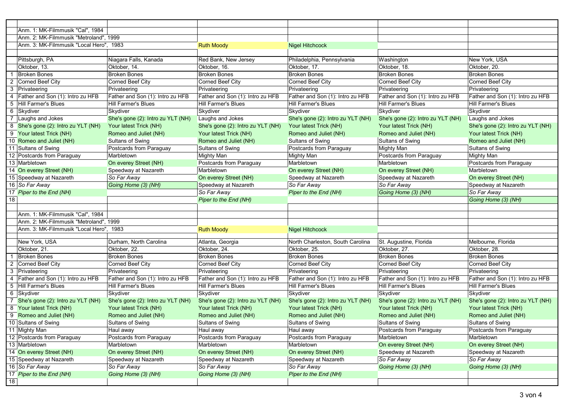|                | Anm. 1: MK-Filmmusik "Cal", 1984                              |                                                             |                                                             |                                                             |                                                             |                                                             |
|----------------|---------------------------------------------------------------|-------------------------------------------------------------|-------------------------------------------------------------|-------------------------------------------------------------|-------------------------------------------------------------|-------------------------------------------------------------|
|                | Anm. 2: MK-Filmmusik "Metroland", 1999                        |                                                             |                                                             |                                                             |                                                             |                                                             |
|                | Anm. 3: MK-Filmmusik "Local Hero", 1983                       |                                                             | <b>Ruth Moody</b>                                           | <b>Nigel Hitchcock</b>                                      |                                                             |                                                             |
|                |                                                               |                                                             |                                                             |                                                             |                                                             |                                                             |
|                | Pittsburgh, PA                                                | Niagara Falls, Kanada                                       | Red Bank, New Jersey                                        | Philadelphia, Pennsylvania                                  | Washington                                                  | New York, USA                                               |
|                | Oktober, 13.                                                  | Oktober, 14.                                                | Oktober, 16.                                                | Oktober, 17.                                                | Oktober, 18.                                                | Oktober, 20.                                                |
|                | <b>Broken Bones</b>                                           | <b>Broken Bones</b>                                         | <b>Broken Bones</b>                                         | <b>Broken Bones</b>                                         | <b>Broken Bones</b>                                         | <b>Broken Bones</b>                                         |
| $\overline{2}$ | Corned Beef City                                              | Corned Beef City                                            | Corned Beef City                                            | Corned Beef City                                            | <b>Corned Beef City</b>                                     | Corned Beef City                                            |
|                | 3 Privateering                                                | Privateering                                                | Privateering                                                | Privateering                                                | Privateering                                                | Privateering                                                |
| $\overline{4}$ | Father and Son (1): Intro zu HFB                              | Father and Son (1): Intro zu HFB                            | Father and Son (1): Intro zu HFB                            | Father and Son (1): Intro zu HFB                            | Father and Son (1): Intro zu HFB                            | Father and Son (1): Intro zu HFB                            |
| 5              | Hill Farmer's Blues                                           | <b>Hill Farmer's Blues</b>                                  | Hill Farmer's Blues                                         | Hill Farmer's Blues                                         | <b>Hill Farmer's Blues</b>                                  | <b>Hill Farmer's Blues</b>                                  |
| 6              | Skydiver                                                      | Skydiver                                                    | Skydiver                                                    | Skydiver                                                    | Skydiver                                                    | Skydiver                                                    |
| 7              | Laughs and Jokes                                              | She's gone (2): Intro zu YLT (NH)                           | Laughs and Jokes                                            | She's gone (2): Intro zu YLT (NH)                           | She's gone (2): Intro zu YLT (NH)                           | Laughs and Jokes                                            |
|                | 8 She's gone (2): Intro zu YLT (NH)                           | Your latest Trick (NH)                                      | She's gone (2): Intro zu YLT (NH)                           | Your latest Trick (NH)                                      | Your latest Trick (NH)                                      | She's gone (2): Intro zu YLT (NH)                           |
|                | 9 Your latest Trick (NH)                                      | Romeo and Juliet (NH)                                       | Your latest Trick (NH)                                      | Romeo and Juliet (NH)                                       | Romeo and Juliet (NH)                                       | Your latest Trick (NH)                                      |
|                | 10 Romeo and Juliet (NH)                                      | Sultans of Swing                                            | Romeo and Juliet (NH)                                       | Sultans of Swing                                            | Sultans of Swing                                            | Romeo and Juliet (NH)                                       |
|                | 11 Sultans of Swing                                           | Postcards from Paraguay                                     | Sultans of Swing                                            | Postcards from Paraguay                                     | <b>Mighty Man</b>                                           | Sultans of Swing                                            |
|                | 12 Postcards from Paraguay                                    | Marbletown                                                  | <b>Mighty Man</b>                                           | <b>Mighty Man</b>                                           | Postcards from Paraguay                                     | <b>Mighty Man</b>                                           |
|                | 13 Marbletown                                                 | On everey Street (NH)                                       | Postcards from Paraguay                                     | Marbletown                                                  | Marbletown                                                  | Postcards from Paraguay                                     |
|                | 14 On everey Street (NH)                                      | Speedway at Nazareth                                        | Marbletown                                                  | On everey Street (NH)                                       | On everey Street (NH)                                       | Marbletown                                                  |
|                | 15 Speedway at Nazareth                                       | So Far Away                                                 | On everey Street (NH)                                       | Speedway at Nazareth                                        | Speedway at Nazareth                                        | On everey Street (NH)                                       |
|                | 16 So Far Away                                                | Going Home (3) (NH)                                         | Speedway at Nazareth                                        | So Far Away                                                 | So Far Away                                                 | Speedway at Nazareth                                        |
|                | 17 Piper to the End (NH)                                      |                                                             | So Far Away                                                 | Piper to the End (NH)                                       | Going Home (3) (NH)                                         | So Far Away                                                 |
| 18             |                                                               |                                                             | Piper to the End (NH)                                       |                                                             |                                                             | Going Home (3) (NH)                                         |
|                |                                                               |                                                             |                                                             |                                                             |                                                             |                                                             |
|                | Anm. 1: MK-Filmmusik "Cal", 1984                              |                                                             |                                                             |                                                             |                                                             |                                                             |
|                | Anm. 2: MK-Filmmusik "Metroland", 1999                        |                                                             |                                                             |                                                             |                                                             |                                                             |
|                | Anm. 3: MK-Filmmusik "Local Hero", 1983                       |                                                             | <b>Ruth Moody</b>                                           | <b>Nigel Hitchcock</b>                                      |                                                             |                                                             |
|                |                                                               |                                                             |                                                             |                                                             | St. Augustine, Florida                                      |                                                             |
|                | New York, USA                                                 | Durham, North Carolina                                      | Atlanta, Georgia                                            | North Charleston, South Carolina                            | Oktober, 27.                                                | Melbourne, Florida<br>Oktober, 28.                          |
|                | Oktober, 21.                                                  | Oktober, 22.                                                | Oktober, 24.                                                | Oktober, 25.<br><b>Broken Bones</b>                         | <b>Broken Bones</b>                                         |                                                             |
| 2              | <b>Broken Bones</b><br>Corned Beef City                       | <b>Broken Bones</b><br><b>Corned Beef City</b>              | Broken Bones<br><b>Corned Beef City</b>                     | Corned Beef City                                            | Corned Beef City                                            | <b>Broken Bones</b><br>Corned Beef City                     |
|                | 3 Privateering                                                |                                                             | Privateering                                                | Privateering                                                |                                                             |                                                             |
| 4              | Father and Son (1): Intro zu HFB                              | Privateering<br>Father and Son (1): Intro zu HFB            | Father and Son (1): Intro zu HFB                            | Father and Son (1): Intro zu HFB                            | Privateering<br>Father and Son (1): Intro zu HFB            | Privateering<br>Father and Son (1): Intro zu HFB            |
| 5              | Hill Farmer's Blues                                           | Hill Farmer's Blues                                         | Hill Farmer's Blues                                         | Hill Farmer's Blues                                         | Hill Farmer's Blues                                         | Hill Farmer's Blues                                         |
|                | 6 Skydiver                                                    | Skydiver                                                    | Skydiver                                                    | Skydiver                                                    | Skydiver                                                    | Skydiver                                                    |
|                |                                                               |                                                             |                                                             |                                                             |                                                             |                                                             |
| $\overline{7}$ | She's gone (2): Intro zu YLT (NH)<br>8 Your latest Trick (NH) | She's gone (2): Intro zu YLT (NH)<br>Your latest Trick (NH) | She's gone (2): Intro zu YLT (NH)<br>Your latest Trick (NH) | She's gone (2): Intro zu YLT (NH)<br>Your latest Trick (NH) | She's gone (2): Intro zu YLT (NH)<br>Your latest Trick (NH) | She's gone (2): Intro zu YLT (NH)<br>Your latest Trick (NH) |
|                |                                                               | Romeo and Juliet (NH)                                       |                                                             | Romeo and Juliet (NH)                                       |                                                             |                                                             |
|                | 9 Romeo and Juliet (NH)<br>10 Sultans of Swing                | Sultans of Swing                                            | Romeo and Juliet (NH)<br>Sultans of Swing                   | Sultans of Swing                                            | Romeo and Juliet (NH)<br>Sultans of Swing                   | Romeo and Juliet (NH)<br>Sultans of Swing                   |
|                |                                                               |                                                             |                                                             |                                                             |                                                             | Postcards from Paraguay                                     |
|                | 11 Mighty Man<br>12 Postcards from Paraguay                   | Haul away<br>Postcards from Paraguay                        | Haul away<br>Postcards from Paraguay                        | Haul away<br>Postcards from Paraguay                        | Postcards from Paraguay<br>Marbletown                       | Marbletown                                                  |
|                | 13 Marbletown                                                 | Marbletown                                                  | Marbletown                                                  | Marbletown                                                  | On everey Street (NH)                                       | On everey Street (NH)                                       |
|                | 14 On everey Street (NH)                                      | On everey Street (NH)                                       | On everey Street (NH)                                       | On everey Street (NH)                                       | Speedway at Nazareth                                        | Speedway at Nazareth                                        |
|                | 15 Speedway at Nazareth                                       | Speedway at Nazareth                                        | Speedway at Nazareth                                        | Speedway at Nazareth                                        | So Far Away                                                 | So Far Away                                                 |
|                | 16 So Far Away                                                | So Far Away                                                 | So Far Away                                                 | So Far Away                                                 | Going Home (3) (NH)                                         | Going Home (3) (NH)                                         |
|                | 17 Piper to the End (NH)                                      | Going Home (3) (NH)                                         | Going Home (3) (NH)                                         | Piper to the End (NH)                                       |                                                             |                                                             |
| 18             |                                                               |                                                             |                                                             |                                                             |                                                             |                                                             |
|                |                                                               |                                                             |                                                             |                                                             |                                                             |                                                             |